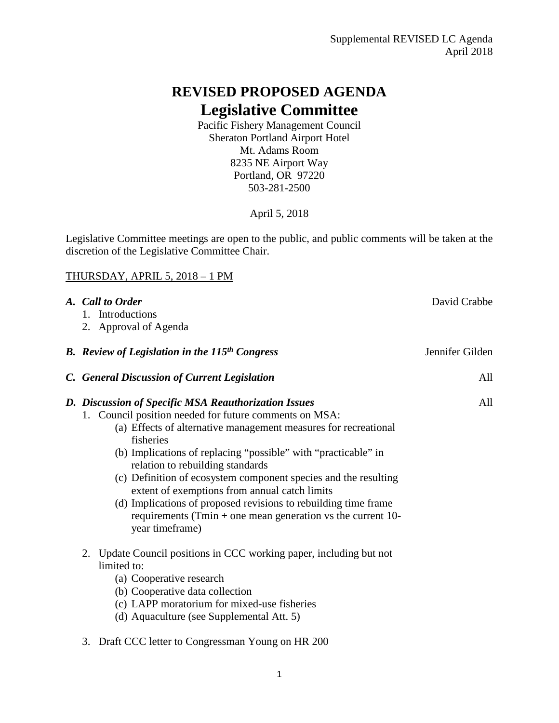## **REVISED PROPOSED AGENDA Legislative Committee**

Pacific Fishery Management Council Sheraton Portland Airport Hotel Mt. Adams Room 8235 NE Airport Way Portland, OR 97220 503-281-2500

April 5, 2018

Legislative Committee meetings are open to the public, and public comments will be taken at the discretion of the Legislative Committee Chair.

## THURSDAY, APRIL 5, 2018 – 1 PM

| A. Call to Order<br>1. Introductions<br>2. Approval of Agenda                                                                                                                                                                                                                                                                                                                                                                                                                                                                                                                    | David Crabbe    |
|----------------------------------------------------------------------------------------------------------------------------------------------------------------------------------------------------------------------------------------------------------------------------------------------------------------------------------------------------------------------------------------------------------------------------------------------------------------------------------------------------------------------------------------------------------------------------------|-----------------|
| <b>B.</b> Review of Legislation in the 115 <sup>th</sup> Congress                                                                                                                                                                                                                                                                                                                                                                                                                                                                                                                | Jennifer Gilden |
| C. General Discussion of Current Legislation                                                                                                                                                                                                                                                                                                                                                                                                                                                                                                                                     | All             |
| D. Discussion of Specific MSA Reauthorization Issues<br>1. Council position needed for future comments on MSA:<br>(a) Effects of alternative management measures for recreational<br>fisheries<br>(b) Implications of replacing "possible" with "practicable" in<br>relation to rebuilding standards<br>(c) Definition of ecosystem component species and the resulting<br>extent of exemptions from annual catch limits<br>(d) Implications of proposed revisions to rebuilding time frame<br>requirements (Tmin + one mean generation vs the current $10$ -<br>year timeframe) | All             |
| Update Council positions in CCC working paper, including but not<br>2.<br>limited to:<br>(a) Cooperative research<br>(b) Cooperative data collection<br>(c) LAPP moratorium for mixed-use fisheries<br>(d) Aquaculture (see Supplemental Att. 5)                                                                                                                                                                                                                                                                                                                                 |                 |
| 3. Draft CCC letter to Congressman Young on HR 200                                                                                                                                                                                                                                                                                                                                                                                                                                                                                                                               |                 |